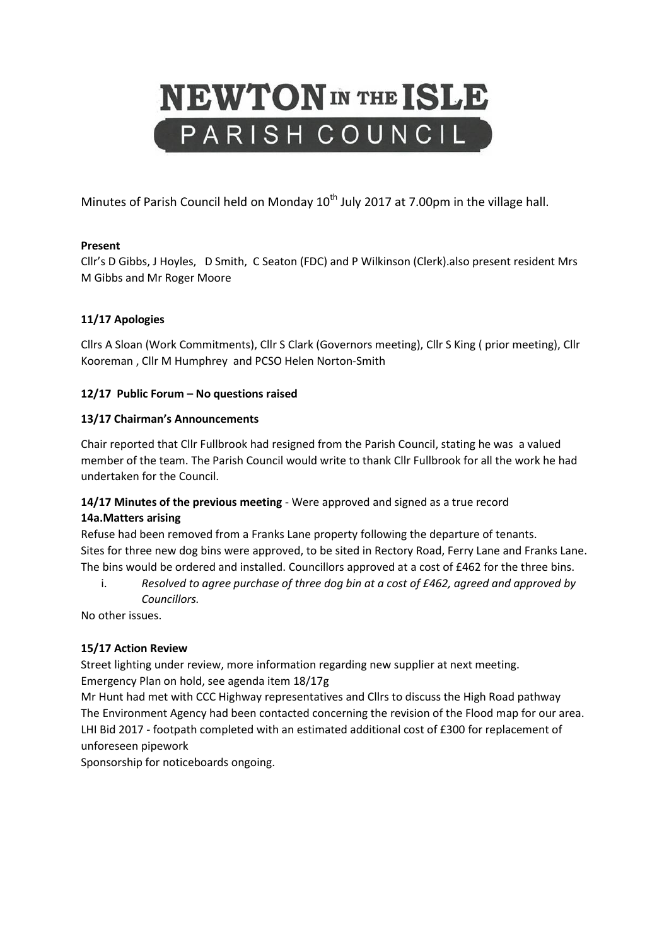# **NEWTON** IN THE ISLE PARISH COUNCIL

Minutes of Parish Council held on Monday  $10^{th}$  July 2017 at 7.00pm in the village hall.

# **Present**

Cllr's D Gibbs, J Hoyles, D Smith, C Seaton (FDC) and P Wilkinson (Clerk).also present resident Mrs M Gibbs and Mr Roger Moore

# **11/17 Apologies**

Cllrs A Sloan (Work Commitments), Cllr S Clark (Governors meeting), Cllr S King ( prior meeting), Cllr Kooreman , Cllr M Humphrey and PCSO Helen Norton-Smith

# **12/17 Public Forum – No questions raised**

# **13/17 Chairman's Announcements**

Chair reported that Cllr Fullbrook had resigned from the Parish Council, stating he was a valued member of the team. The Parish Council would write to thank Cllr Fullbrook for all the work he had undertaken for the Council.

# **14/17 Minutes of the previous meeting** - Were approved and signed as a true record **14a.Matters arising**

Refuse had been removed from a Franks Lane property following the departure of tenants. Sites for three new dog bins were approved, to be sited in Rectory Road, Ferry Lane and Franks Lane. The bins would be ordered and installed. Councillors approved at a cost of £462 for the three bins.

i. *Resolved to agree purchase of three dog bin at a cost of £462, agreed and approved by Councillors.*

No other issues.

# **15/17 Action Review**

Street lighting under review, more information regarding new supplier at next meeting. Emergency Plan on hold, see agenda item 18/17g

Mr Hunt had met with CCC Highway representatives and Cllrs to discuss the High Road pathway The Environment Agency had been contacted concerning the revision of the Flood map for our area. LHI Bid 2017 - footpath completed with an estimated additional cost of £300 for replacement of unforeseen pipework

Sponsorship for noticeboards ongoing.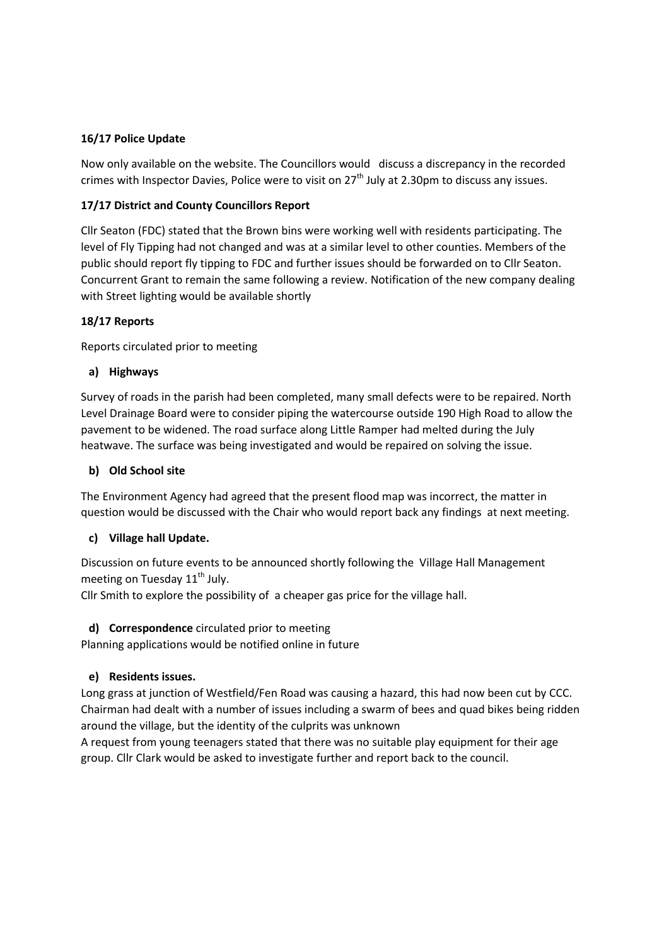## **16/17 Police Update**

Now only available on the website. The Councillors would discuss a discrepancy in the recorded crimes with Inspector Davies, Police were to visit on  $27<sup>th</sup>$  July at 2.30pm to discuss any issues.

## **17/17 District and County Councillors Report**

Cllr Seaton (FDC) stated that the Brown bins were working well with residents participating. The level of Fly Tipping had not changed and was at a similar level to other counties. Members of the public should report fly tipping to FDC and further issues should be forwarded on to Cllr Seaton. Concurrent Grant to remain the same following a review. Notification of the new company dealing with Street lighting would be available shortly

## **18/17 Reports**

Reports circulated prior to meeting

## **a) Highways**

Survey of roads in the parish had been completed, many small defects were to be repaired. North Level Drainage Board were to consider piping the watercourse outside 190 High Road to allow the pavement to be widened. The road surface along Little Ramper had melted during the July heatwave. The surface was being investigated and would be repaired on solving the issue.

#### **b) Old School site**

The Environment Agency had agreed that the present flood map was incorrect, the matter in question would be discussed with the Chair who would report back any findings at next meeting.

## **c) Village hall Update.**

Discussion on future events to be announced shortly following the Village Hall Management meeting on Tuesday  $11<sup>th</sup>$  July.

Cllr Smith to explore the possibility of a cheaper gas price for the village hall.

## **d) Correspondence** circulated prior to meeting

Planning applications would be notified online in future

## **e) Residents issues.**

Long grass at junction of Westfield/Fen Road was causing a hazard, this had now been cut by CCC. Chairman had dealt with a number of issues including a swarm of bees and quad bikes being ridden around the village, but the identity of the culprits was unknown

A request from young teenagers stated that there was no suitable play equipment for their age group. Cllr Clark would be asked to investigate further and report back to the council.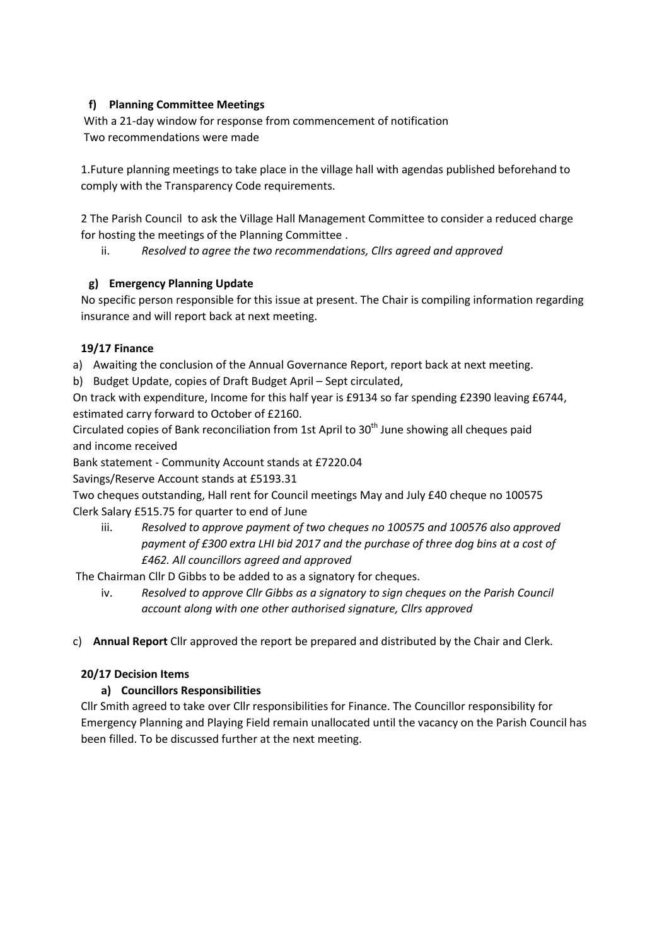# **f) Planning Committee Meetings**

With a 21-day window for response from commencement of notification Two recommendations were made

1.Future planning meetings to take place in the village hall with agendas published beforehand to comply with the Transparency Code requirements.

2 The Parish Council to ask the Village Hall Management Committee to consider a reduced charge for hosting the meetings of the Planning Committee .

ii. *Resolved to agree the two recommendations, Cllrs agreed and approved*

# **g) Emergency Planning Update**

No specific person responsible for this issue at present. The Chair is compiling information regarding insurance and will report back at next meeting.

# **19/17 Finance**

a) Awaiting the conclusion of the Annual Governance Report, report back at next meeting.

b) Budget Update, copies of Draft Budget April – Sept circulated,

On track with expenditure, Income for this half year is £9134 so far spending £2390 leaving £6744, estimated carry forward to October of £2160.

Circulated copies of Bank reconciliation from 1st April to 30<sup>th</sup> June showing all cheques paid and income received

Bank statement - Community Account stands at £7220.04

Savings/Reserve Account stands at £5193.31

Two cheques outstanding, Hall rent for Council meetings May and July £40 cheque no 100575 Clerk Salary £515.75 for quarter to end of June

iii. *Resolved to approve payment of two cheques no 100575 and 100576 also approved payment of £300 extra LHI bid 2017 and the purchase of three dog bins at a cost of £462. All councillors agreed and approved*

The Chairman Cllr D Gibbs to be added to as a signatory for cheques.

iv. *Resolved to approve Cllr Gibbs as a signatory to sign cheques on the Parish Council account along with one other authorised signature, Cllrs approved*

c) **Annual Report** Cllr approved the report be prepared and distributed by the Chair and Clerk.

## **20/17 Decision Items**

# **a) Councillors Responsibilities**

Cllr Smith agreed to take over Cllr responsibilities for Finance. The Councillor responsibility for Emergency Planning and Playing Field remain unallocated until the vacancy on the Parish Council has been filled. To be discussed further at the next meeting.